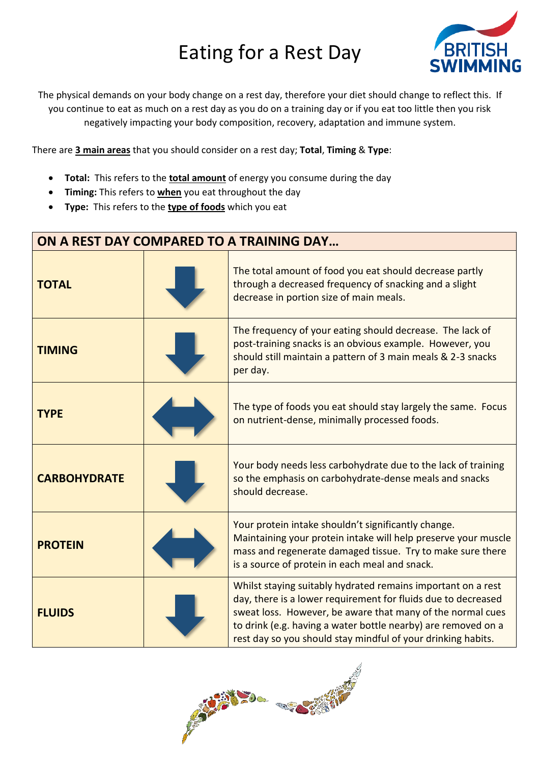## Eating for a Rest Day



The physical demands on your body change on a rest day, therefore your diet should change to reflect this. If you continue to eat as much on a rest day as you do on a training day or if you eat too little then you risk negatively impacting your body composition, recovery, adaptation and immune system.

There are **3 main areas** that you should consider on a rest day; **Total**, **Timing** & **Type**:

- **Total:** This refers to the **total amount** of energy you consume during the day
- **Timing:** This refers to **when** you eat throughout the day
- **Type:** This refers to the **type of foods** which you eat

| ON A REST DAY COMPARED TO A TRAINING DAY |  |                                                                                                                                                                                                                                                                                                                              |  |
|------------------------------------------|--|------------------------------------------------------------------------------------------------------------------------------------------------------------------------------------------------------------------------------------------------------------------------------------------------------------------------------|--|
| <b>TOTAL</b>                             |  | The total amount of food you eat should decrease partly<br>through a decreased frequency of snacking and a slight<br>decrease in portion size of main meals.                                                                                                                                                                 |  |
| <b>TIMING</b>                            |  | The frequency of your eating should decrease. The lack of<br>post-training snacks is an obvious example. However, you<br>should still maintain a pattern of 3 main meals & 2-3 snacks<br>per day.                                                                                                                            |  |
| <b>TYPE</b>                              |  | The type of foods you eat should stay largely the same. Focus<br>on nutrient-dense, minimally processed foods.                                                                                                                                                                                                               |  |
| <b>CARBOHYDRATE</b>                      |  | Your body needs less carbohydrate due to the lack of training<br>so the emphasis on carbohydrate-dense meals and snacks<br>should decrease.                                                                                                                                                                                  |  |
| <b>PROTEIN</b>                           |  | Your protein intake shouldn't significantly change.<br>Maintaining your protein intake will help preserve your muscle<br>mass and regenerate damaged tissue. Try to make sure there<br>is a source of protein in each meal and snack.                                                                                        |  |
| <b>FLUIDS</b>                            |  | Whilst staying suitably hydrated remains important on a rest<br>day, there is a lower requirement for fluids due to decreased<br>sweat loss. However, be aware that many of the normal cues<br>to drink (e.g. having a water bottle nearby) are removed on a<br>rest day so you should stay mindful of your drinking habits. |  |